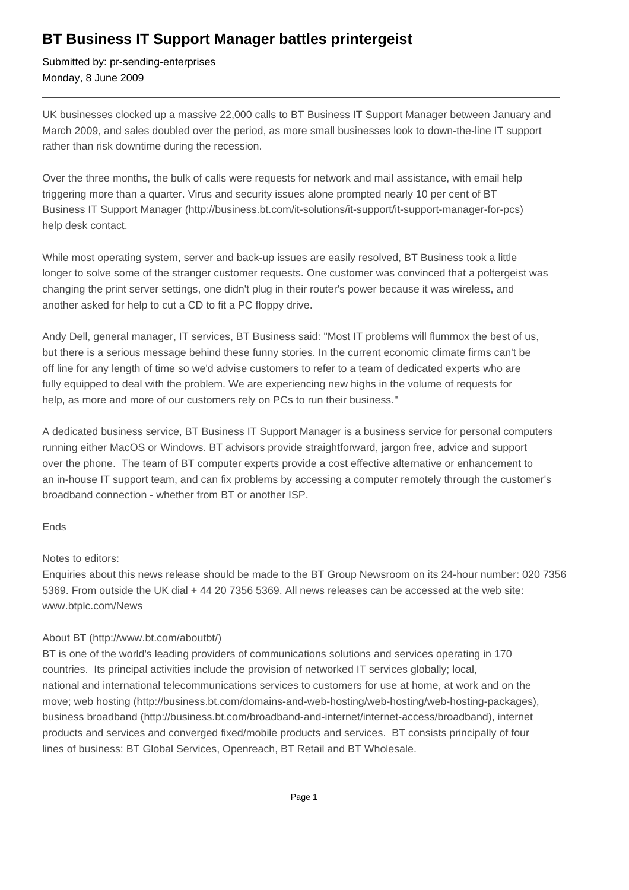## **BT Business IT Support Manager battles printergeist**

Submitted by: pr-sending-enterprises Monday, 8 June 2009

UK businesses clocked up a massive 22,000 calls to BT Business IT Support Manager between January and March 2009, and sales doubled over the period, as more small businesses look to down-the-line IT support rather than risk downtime during the recession.

Over the three months, the bulk of calls were requests for network and mail assistance, with email help triggering more than a quarter. Virus and security issues alone prompted nearly 10 per cent of BT Business IT Support Manager (http://business.bt.com/it-solutions/it-support/it-support-manager-for-pcs) help desk contact.

While most operating system, server and back-up issues are easily resolved, BT Business took a little longer to solve some of the stranger customer requests. One customer was convinced that a poltergeist was changing the print server settings, one didn't plug in their router's power because it was wireless, and another asked for help to cut a CD to fit a PC floppy drive.

Andy Dell, general manager, IT services, BT Business said: "Most IT problems will flummox the best of us, but there is a serious message behind these funny stories. In the current economic climate firms can't be off line for any length of time so we'd advise customers to refer to a team of dedicated experts who are fully equipped to deal with the problem. We are experiencing new highs in the volume of requests for help, as more and more of our customers rely on PCs to run their business."

A dedicated business service, BT Business IT Support Manager is a business service for personal computers running either MacOS or Windows. BT advisors provide straightforward, jargon free, advice and support over the phone. The team of BT computer experts provide a cost effective alternative or enhancement to an in-house IT support team, and can fix problems by accessing a computer remotely through the customer's broadband connection - whether from BT or another ISP.

## Ends

## Notes to editors:

Enquiries about this news release should be made to the BT Group Newsroom on its 24-hour number: 020 7356 5369. From outside the UK dial + 44 20 7356 5369. All news releases can be accessed at the web site: www.btplc.com/News

## About BT (http://www.bt.com/aboutbt/)

BT is one of the world's leading providers of communications solutions and services operating in 170 countries. Its principal activities include the provision of networked IT services globally; local, national and international telecommunications services to customers for use at home, at work and on the move; web hosting (http://business.bt.com/domains-and-web-hosting/web-hosting/web-hosting-packages), business broadband (http://business.bt.com/broadband-and-internet/internet-access/broadband), internet products and services and converged fixed/mobile products and services. BT consists principally of four lines of business: BT Global Services, Openreach, BT Retail and BT Wholesale.